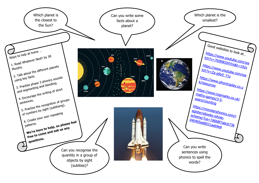